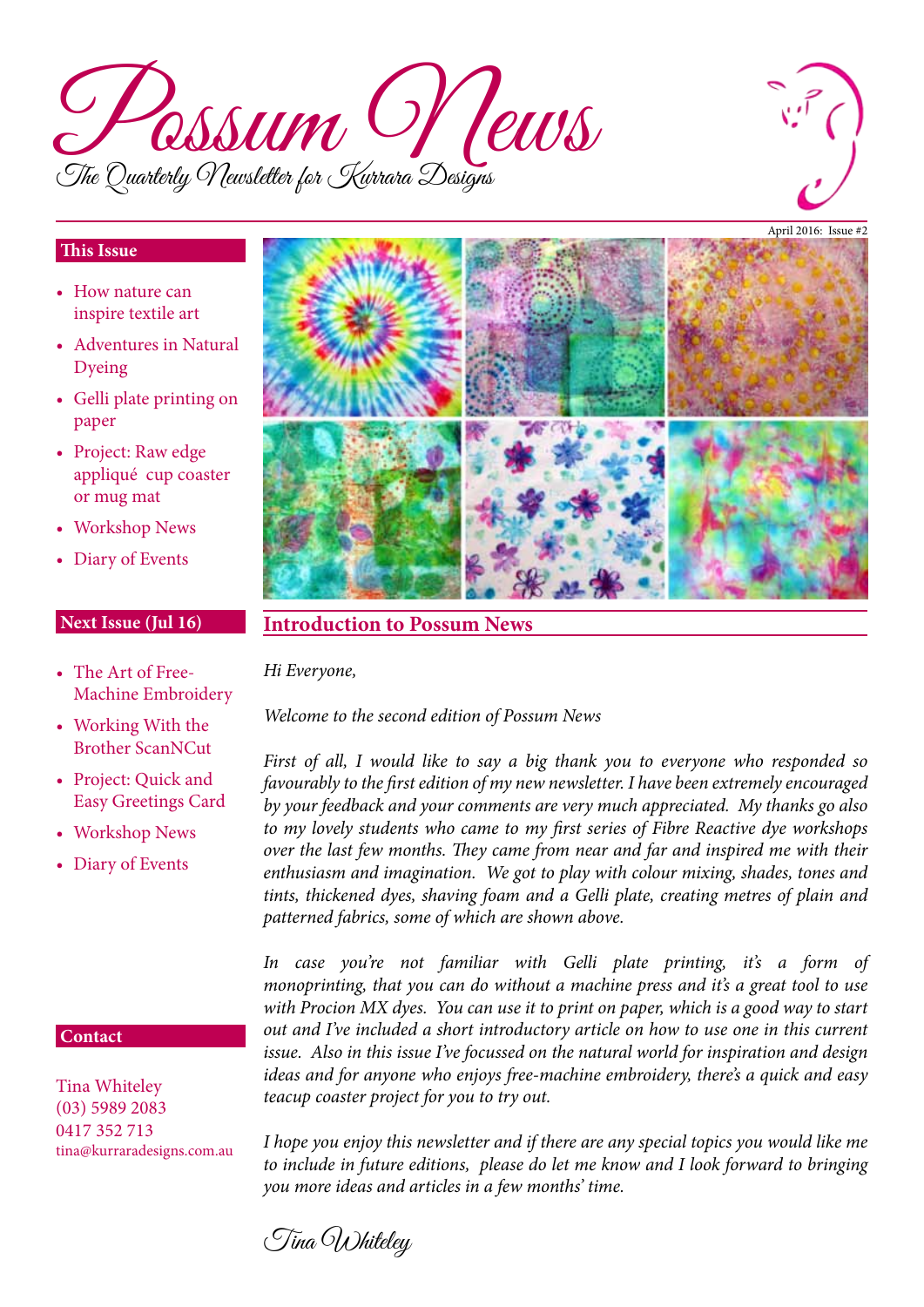



### **This Issue**

- How nature can inspire textile art
- Adventures in Natural Dyeing
- • Gelli plate printing on paper
- Project: Raw edge appliqué cup coaster or mug mat
- Workshop News
- Diary of Events

### **Next Issue (Jul 16)**

- The Art of Free-Machine Embroidery
- Working With the Brother ScanNCut
- Project: Quick and Easy Greetings Card
- Workshop News
- Diary of Events

#### **Contact**

Tina Whiteley (03) 5989 2083 0417 352 713 tina@kurraradesigns.com.au



### **Introduction to Possum News**

*Hi Everyone,*

*Welcome to the second edition of Possum News*

*First of all, I would like to say a big thank you to everyone who responded so favourably to the first edition of my new newsletter. I have been extremely encouraged by your feedback and your comments are very much appreciated. My thanks go also to my lovely students who came to my first series of Fibre Reactive dye workshops over the last few months. They came from near and far and inspired me with their enthusiasm and imagination. We got to play with colour mixing, shades, tones and tints, thickened dyes, shaving foam and a Gelli plate, creating metres of plain and patterned fabrics, some of which are shown above.* 

*In case you're not familiar with Gelli plate printing, it's a form of monoprinting, that you can do without a machine press and it's a great tool to use with Procion MX dyes. You can use it to print on paper, which is a good way to start out and I've included a short introductory article on how to use one in this current issue. Also in this issue I've focussed on the natural world for inspiration and design ideas and for anyone who enjoys free-machine embroidery, there's a quick and easy teacup coaster project for you to try out.*

*I hope you enjoy this newsletter and if there are any special topics you would like me to include in future editions, please do let me know and I look forward to bringing you more ideas and articles in a few months' time.*

Tina Whiteley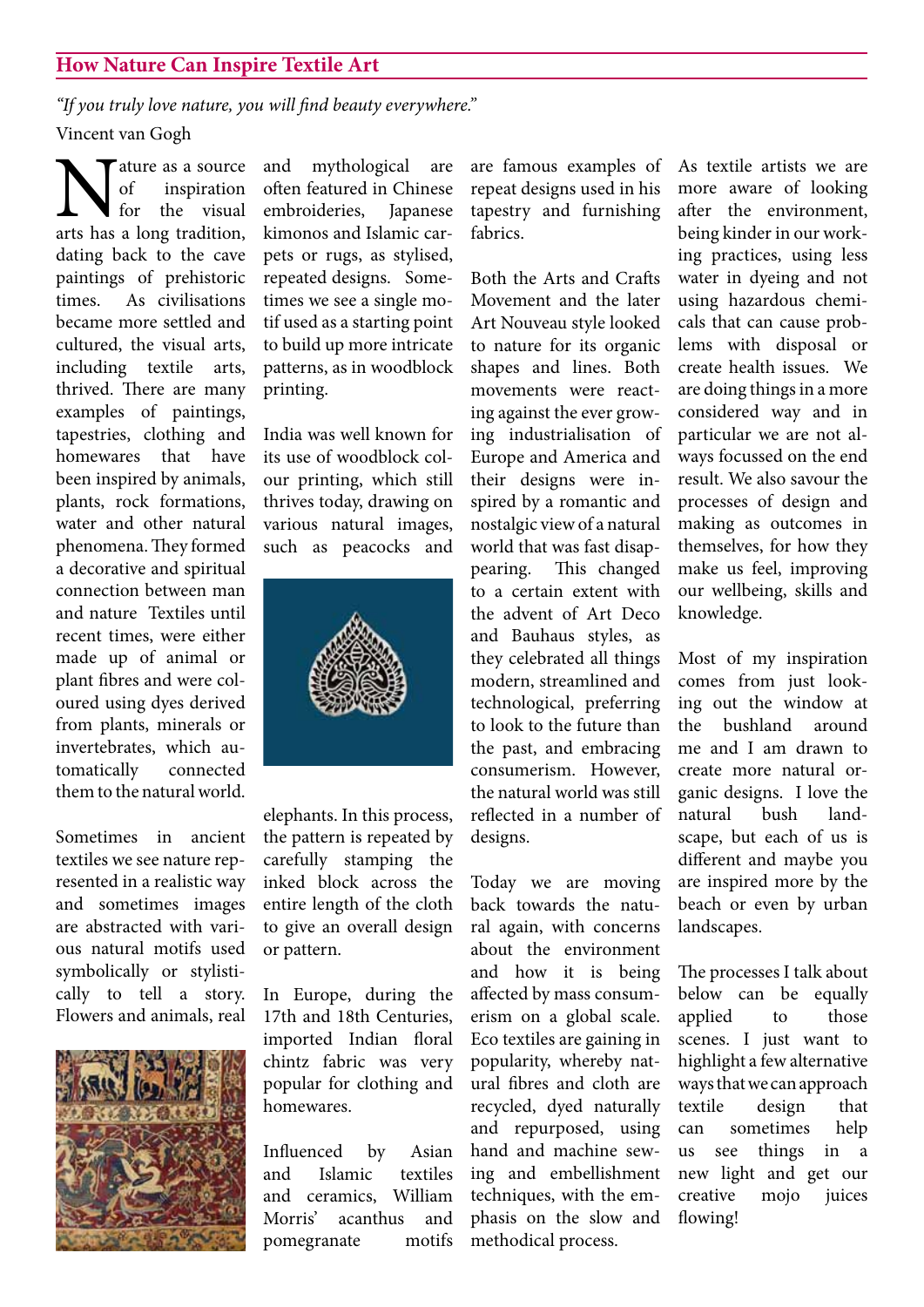## **How Nature Can Inspire Textile Art**

*"If you truly love nature, you will find beauty everywhere."*  Vincent van Gogh

Mature as a source<br>for inspiration<br>arts has a long tradition, of inspiration for the visual dating back to the cave paintings of prehistoric times. As civilisations became more settled and cultured, the visual arts, including textile arts, thrived. There are many examples of paintings, tapestries, clothing and homewares that have been inspired by animals, plants, rock formations, water and other natural phenomena.They formed a decorative and spiritual connection between man and nature Textiles until recent times, were either made up of animal or plant fibres and were coloured using dyes derived from plants, minerals or invertebrates, which automatically connected them to the naturalworld.

Sometimes in ancient textiles we see nature represented in a realistic way and sometimes images are abstracted with various natural motifs used symbolically or stylistically to tell a story. Flowers and animals, real 



and mythological are often featured in Chinese embroideries, Japanese kimonos and Islamic carpets or rugs, as stylised, repeated designs. Sometimes we see a single motif used as a starting point to build up more intricate patterns, as in woodblock printing.

India was well known for its use of woodblock colour printing, which still thrives today, drawing on various natural images, such as peacocks and 



elephants. In this process, the pattern is repeated by carefully stamping the inked block across the entire length of the cloth to give an overall design or pattern.

In Europe, during the 17th and 18th Centuries, imported Indian floral chintz fabric was very popular for clothing and homewares.

Influenced by Asian and Islamic textiles and ceramics, William Morris' acanthus and pomegranate motifs are famous examples of repeat designs used in his tapestry and furnishing fabrics.

Both the Arts and Crafts Movement and the later Art Nouveau style looked to nature for its organic shapes and lines. Both movements were reacting against the ever growing industrialisation of Europe and America and their designs were inspired by a romantic and nostalgic viewof a natural world that was fast disappearing. This changed to a certain extent with the advent of Art Deco and Bauhaus styles, as they celebrated all things modern, streamlined and technological, preferring to look to the future than the past, and embracing consumerism. However, the natural world was still reflected in a number of designs.

Today we are moving back towards the natural again, with concerns about the environment and how it is being affected by mass consumerism on a global scale. Eco textiles are gaining in popularity, whereby natural fibres and cloth are recycled, dyed naturally and repurposed, using hand and machine sewing and embellishment techniques, with the emphasis on the slow and methodical process.

As textile artists we are more aware of looking after the environment, being kinder in our working practices, using less water in dyeing and not using hazardous chemicals that can cause problems with disposal or create health issues. We are doing things in a more considered way and in particular we are not always focussed on the end result. We also savour the processes of design and making as outcomes in themselves, for how they make us feel, improving our wellbeing, skills and knowledge.

Most of my inspiration comes from just looking out the window at the bushland around me and I am drawn to create more natural organic designs. I love the natural bush landscape, but each of us is different and maybe you are inspired more by the beach or even by urban landscapes.

The processes I talk about below can be equally applied to those scenes. I just want to highlight a few alternative ways that we can approach textile design that can sometimes help us see things in a new light and get our creative mojo juices flowing!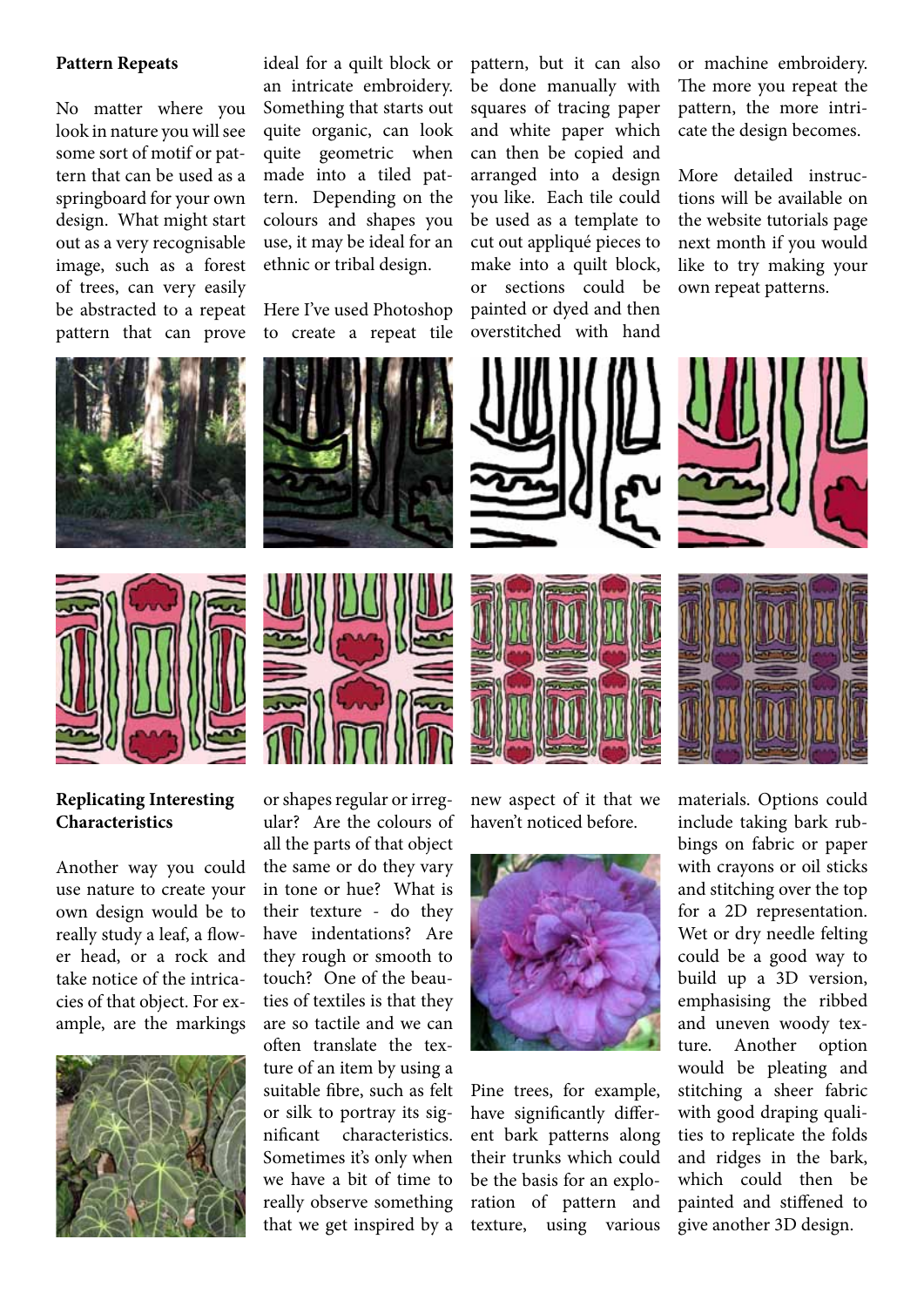#### **Pattern Repeats**

No matter where you look in nature you will see some sort of motif or pattern that can be used as a springboard for your own design. What might start out as a very recognisable image, such as a forest of trees, can very easily be abstracted to a repeat pattern that can prove

ideal for a quilt block or an intricate embroidery. Something that starts out quite organic, can look quite geometric when made into a tiled pattern. Depending on the colours and shapes you use, it may be ideal for an ethnic or tribal design.

Here I've used Photoshop to create a repeat tile pattern, but it can also be done manually with squares of tracing paper and white paper which can then be copied and arranged into a design you like. Each tile could be used as a template to cut out appliqué pieces to make into a quilt block, or sections could be painted or dyed and then overstitched with hand

or machine embroidery. The more you repeat the pattern, the more intricate the design becomes.

More detailed instructions will be available on the website tutorials page next month if you would like to try making your own repeat patterns.





## **Replicating Interesting Characteristics**

Another way you could use nature to create your own design would be to really study a leaf, a flower head, or a rock and take notice of the intricacies of that object. For example, are the markings 





or shapes regular or irregular? Are the colours of all the parts of that object the same or do they vary in tone or hue? What is their texture - do they have indentations? Are they rough or smooth to touch? One of the beauties of textiles is that they are so tactile and we can often translate the texture of an item by using a suitable fibre, such as felt or silk to portray its significant characteristics. Sometimes it's only when we have a bit of time to really observe something that we get inspired by a



new aspect of it that we haven't noticed before.



Pine trees, for example, have significantly different bark patterns along their trunks which could be the basis for an exploration of pattern and texture, using various



materials. Options could include taking bark rubbings on fabric or paper with crayons or oil sticks and stitching over the top for a 2D representation. Wet or dry needle felting could be a good way to build up a 3D version, emphasising the ribbed and uneven woody texture. Another option would be pleating and stitching a sheer fabric with good draping qualities to replicate the folds and ridges in the bark, which could then be painted and stiffened to give another 3D design.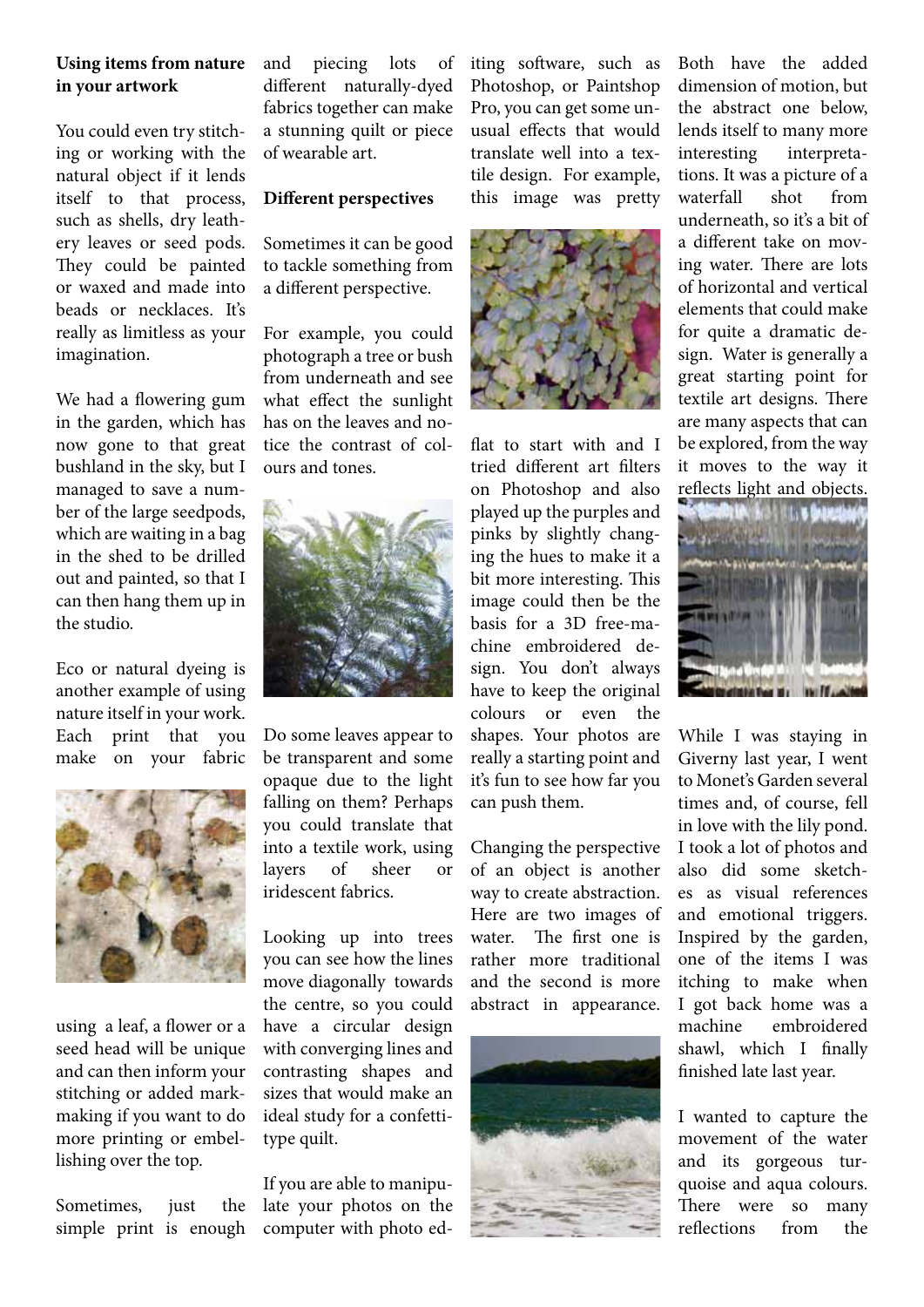## **Using items from nature in your artwork**

You could even try stitching or working with the natural object if it lends itself to that process, such as shells, dry leathery leaves or seed pods. They could be painted or waxed and made into beads or necklaces. It's really as limitless as your imagination.

We had a flowering gum in the garden, which has now gone to that great bushland in the sky, but I managed to save a number of the large seedpods, which are waiting in a bag in the shed to be drilled out and painted, so that I can then hang them up in the studio.

Eco or natural dyeing is another example of using nature itself in your work. Each print that you make on your fabric 



using a leaf, a flower or a seed head will be unique and can then inform your stitching or added markmaking if you want to do more printing or embellishing over the top.

Sometimes, just the simple print is enough and piecing lots of different naturally-dyed fabrics together can make a stunning quilt or piece of wearable art.

## **Different perspectives**

Sometimes it can be good to tackle something from a different perspective.

For example, you could photograph a tree or bush from underneath and see what effect the sunlight has on the leaves and notice the contrast of colours and tones.



Do some leaves appear to be transparent and some opaque due to the light falling on them? Perhaps you could translate that into a textile work, using layers of sheer or iridescent fabrics.

Looking up into trees you can see how the lines move diagonally towards the centre, so you could have a circular design with converging lines and contrasting shapes and sizes that would make an ideal study for a confettitype quilt.

If you are able to manipulate your photos on the computer with photo editing software, such as Photoshop, or Paintshop Pro, you can get some unusual effects that would translate well into a textile design. For example, this image was pretty 



flat to start with and I tried different art filters on Photoshop and also played up the purples and pinks by slightly changing the hues to make it a bit more interesting. This image could then be the basis for a 3D free-machine embroidered design. You don't always have to keep the original colours or even the shapes. Your photos are really a starting point and it's fun to see how far you can push them.

Changing the perspective of an object is another way to create abstraction. Here are two images of water. The first one is rather more traditional and the second is more abstract in appearance. 



Both have the added dimension of motion, but the abstract one below, lends itself to many more interesting interpretations. It was a picture of a waterfall shot from underneath, so it's a bit of a different take on moving water. There are lots of horizontal and vertical elements that could make for quite a dramatic design. Water is generally a great starting point for textile art designs. There are many aspects that can be explored, from the way it moves to the way it reflects light and objects.



While I was staying in Giverny last year, I went to Monet's Garden several times and, of course, fell in love with the lily pond. I took a lot of photos and also did some sketches as visual references and emotional triggers. Inspired by the garden, one of the items I was itching to make when I got back home was a machine embroidered shawl, which I finally finished late last year.

I wanted to capture the movement of the water and its gorgeous turquoise and aqua colours. There were so many reflections from the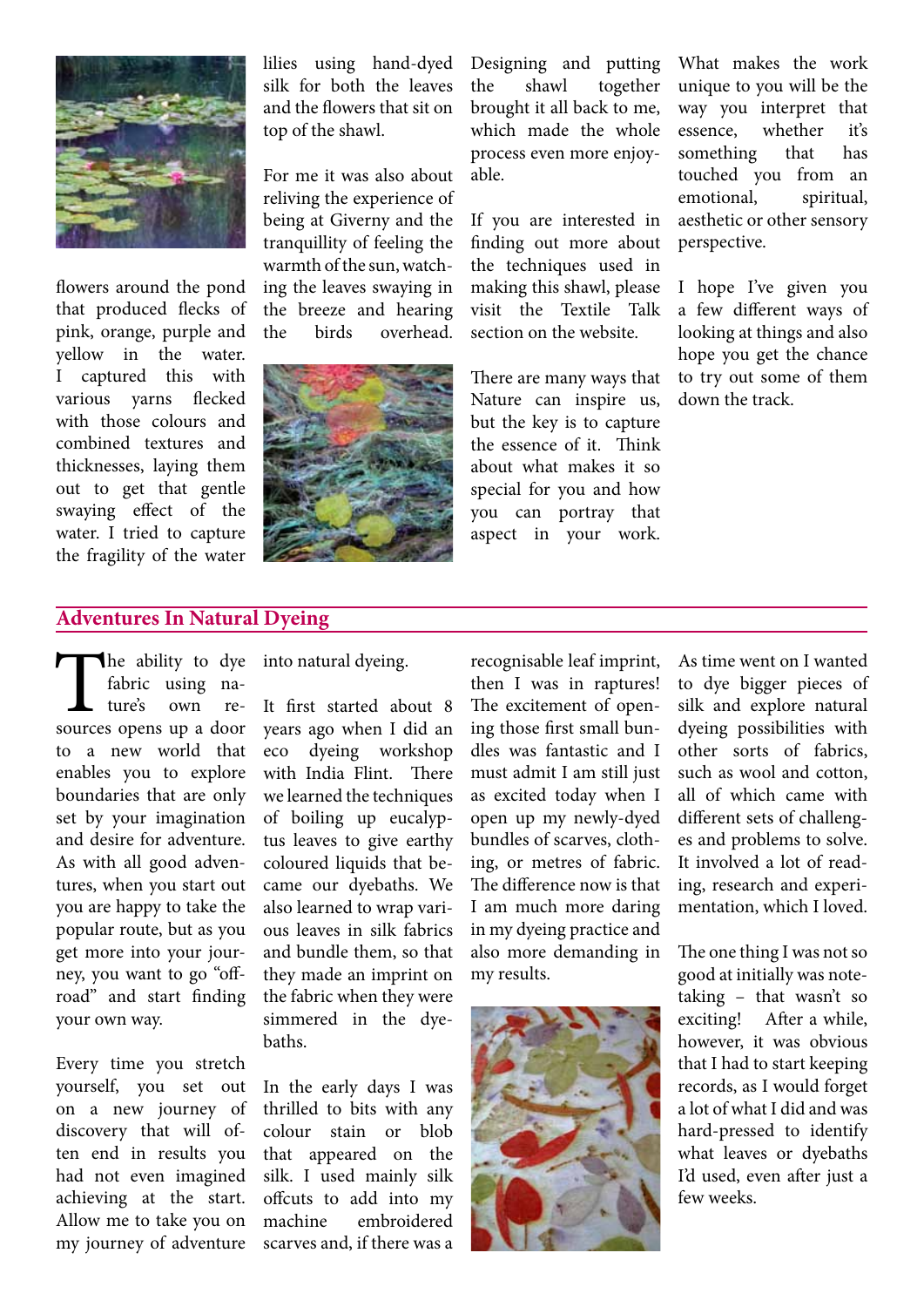

flowers around the pond that produced flecks of pink, orange, purple and yellow in the water. I captured this with various yarns flecked with those colours and combined textures and thicknesses, laying them out to get that gentle swaying effect of the water. I tried to capture the fragility of the water

lilies using hand-dyed silk for both the leaves and the flowers that sit on top of the shawl.

For me it was also about reliving the experience of being at Giverny and the tranquillity of feeling the warmth of the sun, watching the leaves swaying in the breeze and hearing the birds overhead. 



Designing and putting the shawl together brought it all back to me, which made the whole process even more enjoyable.

If you are interested in finding out more about the techniques used in making this shawl, please visit the Textile Talk section on the website.

There are many ways that Nature can inspire us, but the key is to capture the essence of it. Think about what makes it so special for you and how you can portray that aspect in your work.

What makes the work unique to you will be the way you interpret that essence, whether it's something that has touched you from an emotional, spiritual, aesthetic or other sensory perspective.

I hope I've given you a few different ways of looking at things and also hope you get the chance to try out some of them down the track.

## **Adventures In Natural Dyeing**

The ability to dye<br>
fabric using na-<br>
ture's own re-<br>
sources opens up a door fabric using nature's own reto a new world that enables you to explore boundaries that are only set by your imagination and desire for adventure. As with all good adventures, when you start out you are happy to take the popular route, but as you get more into your journey, you want to go "offroad" and start finding your own way.

Every time you stretch yourself, you set out on a new journey of discovery that will often end in results you had not even imagined achieving at the start. Allow me to take you on my journey of adventure into natural dyeing.

It first started about 8 years ago when I did an eco dyeing workshop with India Flint. There we learned the techniques of boiling up eucalyptus leaves to give earthy coloured liquids that became our dyebaths. We also learned to wrap various leaves in silk fabrics and bundle them, so that they made an imprint on the fabric when they were simmered in the dyebaths.

In the early days I was thrilled to bits with any colour stain or blob that appeared on the silk. I used mainly silk offcuts to add into my machine embroidered scarves and, if there was a

recognisable leaf imprint, then I was in raptures! The excitement of opening those first small bundles was fantastic and I must admit I am still just as excited today when I open up my newly-dyed bundles of scarves, clothing, or metres of fabric. The difference now is that I am much more daring in my dyeing practice and also more demanding in my results.



As time went on I wanted to dye bigger pieces of silk and explore natural dyeing possibilities with other sorts of fabrics, such as wool and cotton, all of which came with different sets of challenges and problems to solve. It involved a lot of reading, research and experimentation, which I loved.

The one thing I was not so good at initially was notetaking – that wasn't so exciting! After a while, however, it was obvious that I had to start keeping records, as I would forget a lot of what I did and was hard-pressed to identify what leaves or dyebaths I'd used, even after just a few weeks.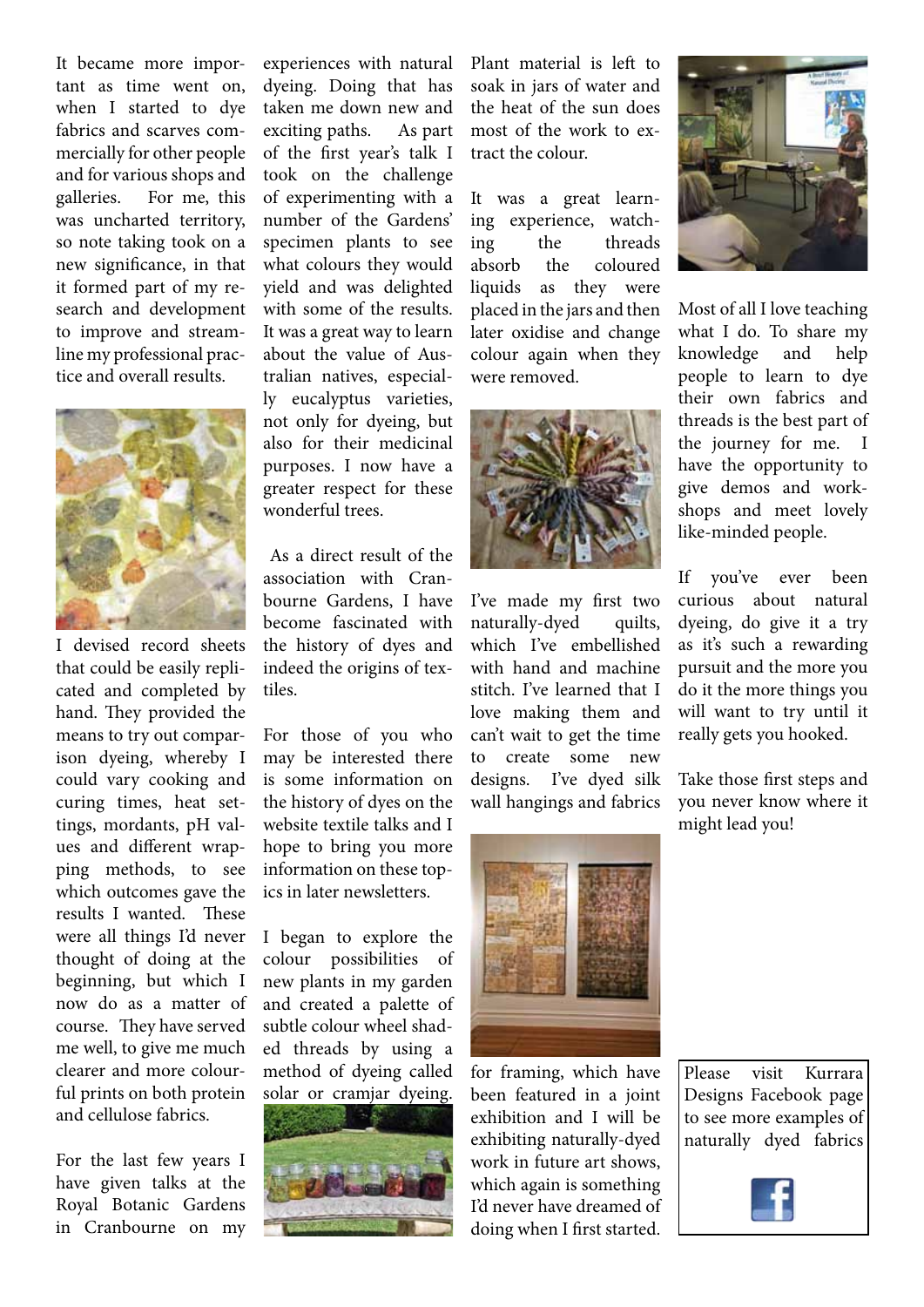It became more important as time went on, when I started to dye fabrics and scarves commercially for other people and for various shops and galleries. For me, this was uncharted territory, so note taking took on a new significance, in that it formed part of my research and development to improve and streamline my professional practice and overall results.



I devised record sheets that could be easily replicated and completed by hand. They provided the means to try out comparison dyeing, whereby I could vary cooking and curing times, heat settings, mordants, pH values and different wrapping methods, to see which outcomes gave the results I wanted. These were all things I'd never thought of doing at the beginning, but which I now do as a matter of course. They have served me well, to give me much clearer and more colourful prints on both protein and cellulose fabrics.

For the last few years I have given talks at the Royal Botanic Gardens in Cranbourne on my experiences with natural dyeing. Doing that has taken me down new and exciting paths. As part of the first year's talk I took on the challenge of experimenting with a number of the Gardens' specimen plants to see what colours they would yield and was delighted with some of the results. It was a great way to learn about the value of Australian natives, especially eucalyptus varieties, not only for dyeing, but also for their medicinal purposes. I now have a greater respect for these wonderful trees.

As a direct result of the association with Cranbourne Gardens, I have become fascinated with the history of dyes and indeed the origins of textiles.

For those of you who may be interested there is some information on the history of dyes on the website textile talks and I hope to bring you more information on these topics in later newsletters.

I began to explore the colour possibilities of new plants in my garden and created a palette of subtle colour wheel shaded threads by using a method of dyeing called solar or cramjar dyeing. 



Plant material is left to soak in jars of water and the heat of the sun does most of the work to extract the colour.

It was a great learning experience, watching the threads absorb the coloured liquids as they were placed in the jars and then later oxidise and change colour again when they were removed.



I've made my first two naturally-dyed quilts, which I've embellished with hand and machine stitch. I've learned that I love making them and can't wait to get the time to create some new designs. I've dyed silk wall hangings and fabrics 



for framing, which have been featured in a joint exhibition and I will be exhibiting naturally-dyed work in future art shows, which again is something I'd never have dreamed of doing when I first started.



Most of all I love teaching what I do. To share my knowledge and help people to learn to dye their own fabrics and threads is the best part of the journey for me. I have the opportunity to give demos and workshops and meet lovely like-minded people.

If you've ever been curious about natural dyeing, do give it a try as it's such a rewarding pursuit and the more you do it the more things you will want to try until it really gets you hooked.

Take those first steps and you never know where it might lead you!

Please visit Kurrara Designs Facebook page to see more examples of naturally dyed fabrics

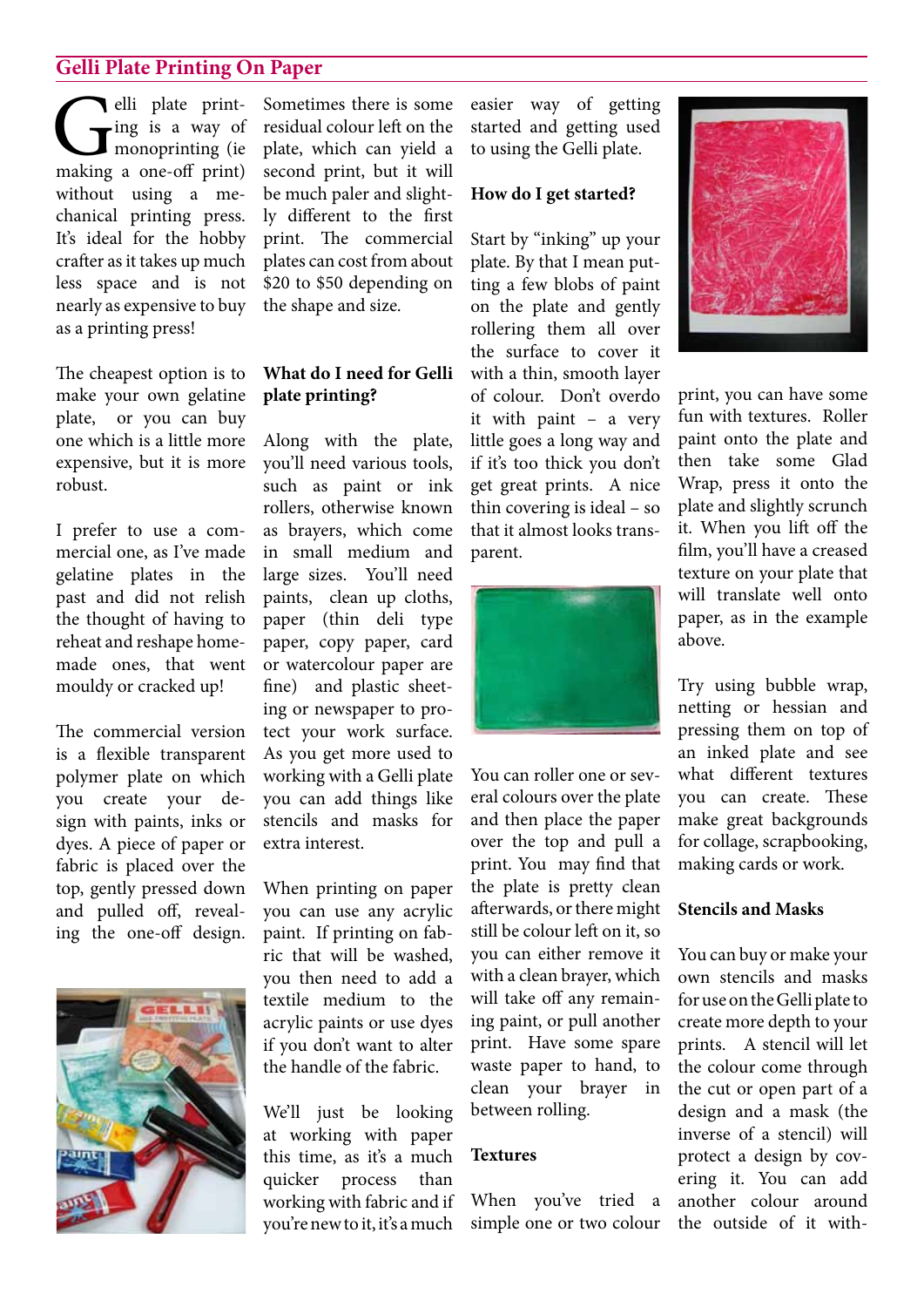## **Gelli Plate Printing On Paper**

**C**elli plate print-<br>
making a one-off print) ing is a way of monoprinting (ie without using a mechanical printing press. It's ideal for the hobby crafter as it takes up much less space and is not nearly as expensive to buy as a printing press!

The cheapest option is to make your own gelatine plate, or you can buy one which is a little more expensive, but it is more robust.

I prefer to use a commercial one, as I've made gelatine plates in the past and did not relish the thought of having to reheat and reshape homemade ones, that went mouldy or cracked up!

The commercial version is a flexible transparent polymer plate on which you create your design with paints, inks or dyes. A piece of paper or fabric is placed over the top, gently pressed down and pulled off, revealing the one-off design.



Sometimes there is some residual colour left on the plate, which can yield a second print, but it will be much paler and slightly different to the first print. The commercial plates can cost from about \$20 to \$50 depending on the shape and size.

## **What do I need for Gelli plate printing?**

Along with the plate, you'll need various tools, such as paint or ink rollers, otherwise known as brayers, which come in small medium and large sizes. You'll need paints, clean up cloths, paper (thin deli type paper, copy paper, card or watercolour paper are fine) and plastic sheeting or newspaper to protect your work surface. As you get more used to working with a Gelli plate you can add things like stencils and masks for extra interest.

When printing on paper you can use any acrylic paint. If printing on fabric that will be washed, you then need to add a textile medium to the acrylic paints or use dyes if you don't want to alter the handle of the fabric.

We'll just be looking at working with paper this time, as it's a much quicker process than working with fabric and if you'renewto it,it's amuch

easier way of getting started and getting used to using the Gelli plate.

### **How do I get started?**

Start by "inking" up your plate. By that I mean putting a few blobs of paint on the plate and gently rollering them all over the surface to cover it with a thin, smooth layer of colour. Don't overdo it with paint – a very little goes a long way and if it's too thick you don't get great prints. A nice thin covering is ideal – so that it almost looks transparent.



You can roller one or several colours over the plate and then place the paper over the top and pull a print. You may find that the plate is pretty clean afterwards, or there might still be colour left on it, so you can either remove it with a clean brayer, which will take off any remaining paint, or pull another print. Have some spare waste paper to hand, to clean your brayer in between rolling.

#### **Textures**

When you've tried a simple one or two colour



print, you can have some fun with textures. Roller paint onto the plate and then take some Glad Wrap, press it onto the plate and slightly scrunch it. When you lift off the film, you'll have a creased texture on your plate that will translate well onto paper, as in the example above.

Try using bubble wrap, netting or hessian and pressing them on top of an inked plate and see what different textures you can create. These make great backgrounds for collage, scrapbooking, making cards or work.

## **Stencils and Masks**

You can buy or make your own stencils and masks foruseontheGelliplate to create more depth to your prints. A stencil will let the colour come through the cut or open part of a design and a mask (the inverse of a stencil) will protect a design by covering it. You can add another colour around the outside of it with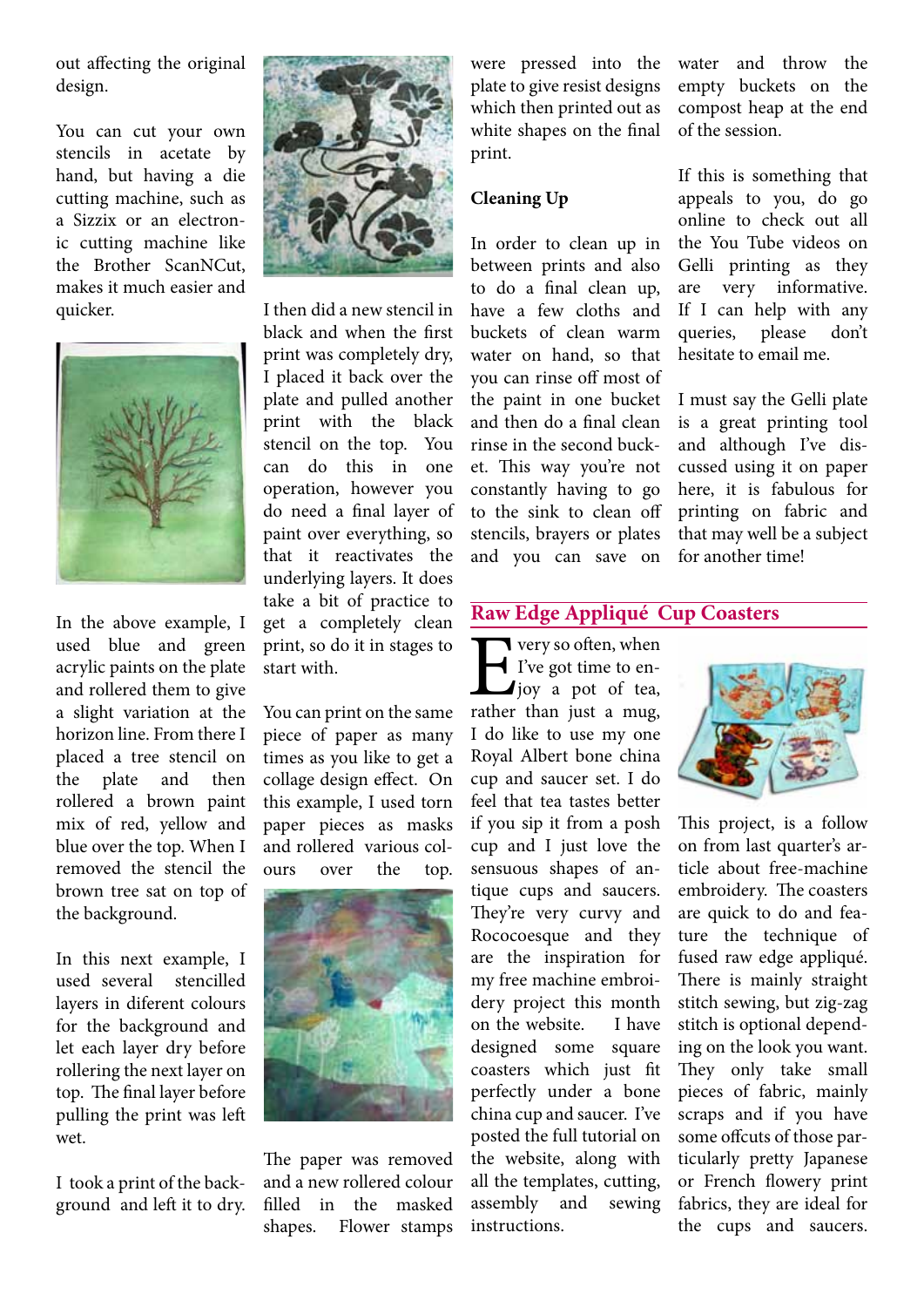out affecting the original design.

You can cut your own stencils in acetate by hand, but having a die cutting machine, such as a Sizzix or an electronic cutting machine like the Brother ScanNCut, makes it much easier and quicker.



In the above example, I used blue and green acrylic paints on the plate and rollered them to give a slight variation at the horizon line. From there I placed a tree stencil on the plate and then rollered a brown paint mix of red, yellow and blue over the top. When I removed the stencil the brown tree sat on top of the background.

In this next example, I used several stencilled layers in diferent colours for the background and let each layer dry before rollering the next layer on top. The final layer before pulling the print was left wet.

I took a print of the background and left it to dry.



I then did a new stencil in black and when the first print was completely dry, I placed it back over the plate and pulled another print with the black stencil on the top. You can do this in one operation, however you do need a final layer of paint over everything, so that it reactivates the underlying layers. It does take a bit of practice to get a completely clean print, so do it in stages to start with.

You can print on the same piece of paper as many times as you like to get a collage design effect. On this example, I used torn paper pieces as masks and rollered various colours over the top.



The paper was removed and a new rollered colour filled in the masked shapes. Flower stamps

were pressed into the plate to give resist designs which then printed out as white shapes on the final print.

# **Cleaning Up**

In order to clean up in between prints and also to do a final clean up, have a few cloths and buckets of clean warm water on hand, so that you can rinse off most of the paint in one bucket and then do a final clean rinse in the second bucket. This way you're not constantly having to go to the sink to clean off stencils, brayers or plates and you can save on

water and throw the empty buckets on the compost heap at the end of the session.

If this is something that appeals to you, do go online to check out all the You Tube videos on Gelli printing as they are very informative. If I can help with any queries, please don't hesitate to email me.

I must say the Gelli plate is a great printing tool and although I've discussed using it on paper here, it is fabulous for printing on fabric and that may well be a subject for another time!

## **Raw Edge Appliqué Cup Coasters**

**Example 1** Five got time to en-<br>joy a pot of tea,<br>rather than just a mug,  $\blacktriangleleft$  I've got time to enjoy a pot of tea, rather than just a mug, I do like to use my one Royal Albert bone china cup and saucer set. I do feel that tea tastes better if you sip it from a posh cup and I just love the sensuous shapes of antique cups and saucers. They're very curvy and Rococoesque and they are the inspiration for my free machine embroidery project this month on the website. I have designed some square coasters which just fit perfectly under a bone china cup and saucer. I've posted the full tutorial on the website, along with all the templates, cutting, assembly and sewing instructions.



This project, is a follow on from last quarter's article about free-machine embroidery. The coasters are quick to do and feature the technique of fused raw edge appliqué. There is mainly straight stitch sewing, but zig-zag stitch is optional depending on the look you want. They only take small pieces of fabric, mainly scraps and if you have some offcuts of those particularly pretty Japanese or French flowery print fabrics, they are ideal for the cups and saucers.